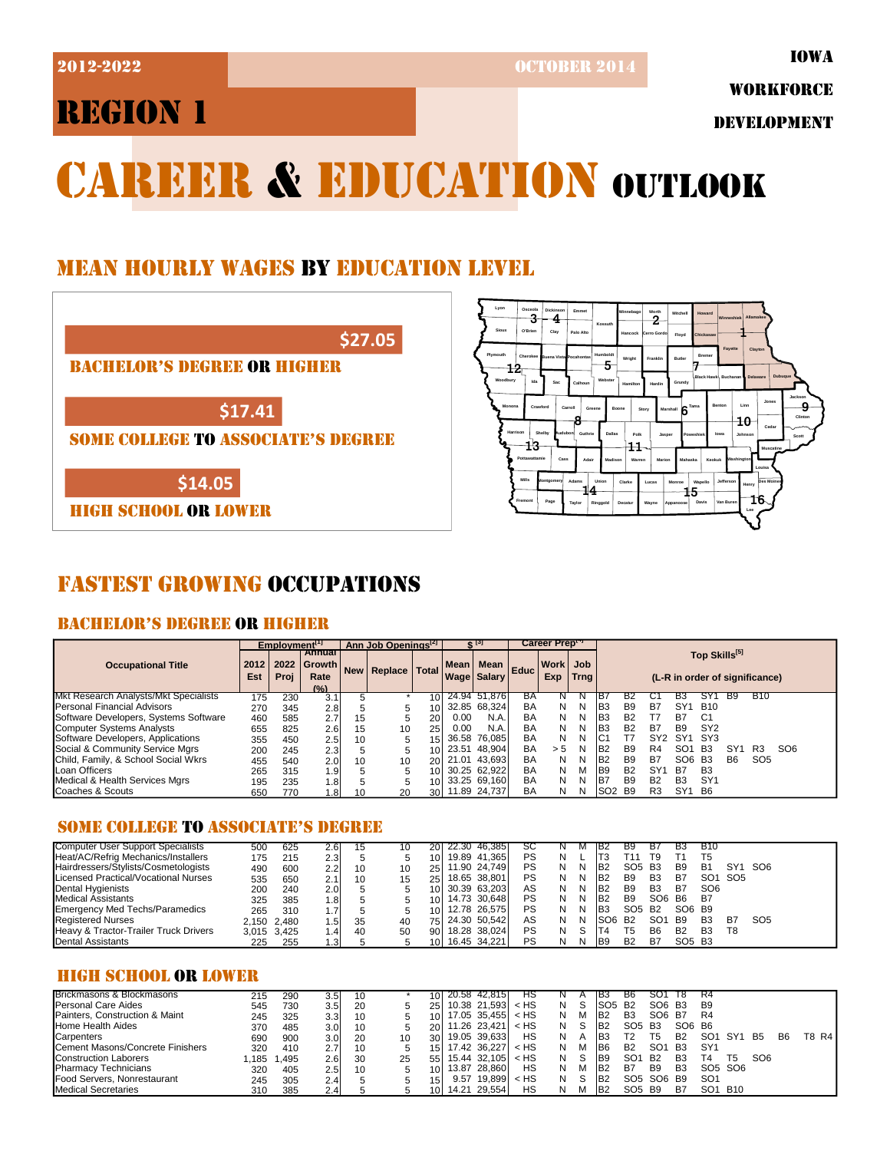2012-2022 OCTOBER 2014

WORKFORCE

DEVELOPMENT

# CAREER & EDUCATION OUTLOOK

## MEAN HOURLY WAGES BY EDUCATION LEVEL





## FASTEST GROWING OCCUPATIONS

### BACHELOR'S DEGREE OR HIGHER

|                                              | Employment <sup>[1]</sup> |      |                                        | Ann Job Openings <sup>[2]</sup> |             |                 |       | ¢ [s]                               | Career Prept |                 |             |                 |                                                 |                 |                 |                 |                |                 |                 |  |  |
|----------------------------------------------|---------------------------|------|----------------------------------------|---------------------------------|-------------|-----------------|-------|-------------------------------------|--------------|-----------------|-------------|-----------------|-------------------------------------------------|-----------------|-----------------|-----------------|----------------|-----------------|-----------------|--|--|
| <b>Occupational Title</b>                    | 2012<br>Est               | Proj | Annual<br>2022 Growth<br>Rate<br>(9/2) |                                 | New Replace | <b>Total</b>    |       | Mean   Mean  <br><b>Wage Salary</b> | Educ         | Work Job<br>Exp | <b>Trng</b> |                 | Top Skills[5]<br>(L-R in order of significance) |                 |                 |                 |                |                 |                 |  |  |
| <b>Mkt Research Analysts/Mkt Specialists</b> | 175                       | 230  | 3.1                                    |                                 |             | 10 <sup>1</sup> | 24.94 | 51.876                              | BA           |                 |             | IB.             |                                                 |                 |                 |                 | <b>B</b> 9     | <b>B10</b>      |                 |  |  |
| Personal Financial Advisors                  | 270                       | 345  | 2.8                                    | 5                               | 5           | 10              |       | 32.85 68.324                        | <b>BA</b>    | N               | N           | IB3             | B <sub>9</sub>                                  | B7              | SY <sup>4</sup> | <b>B10</b>      |                |                 |                 |  |  |
| Software Developers, Systems Software        | 460                       | 585  | 2.7                                    | 15                              |             | 20              | 0.00  | N.A.                                | BA           | N               | N           | IB3             | <b>B2</b>                                       | Т7              | B7              | C <sub>1</sub>  |                |                 |                 |  |  |
| Computer Systems Analysts                    | 655                       | 825  | 2.6                                    | 15                              | 10          | 25              | 0.00  | N.A.                                | BA           | N               | N           | IB <sub>3</sub> | <b>B2</b>                                       | B7              | <b>B</b> 9      | SY <sub>2</sub> |                |                 |                 |  |  |
| Software Developers, Applications            | 355                       | 450  | 2.5                                    | 10                              |             | 15              | 36.58 | 76.085                              | BA           | N               | N           | IC1             |                                                 | SY <sub>2</sub> | SY <sub>1</sub> | SY3             |                |                 |                 |  |  |
| Social & Community Service Mgrs              | 200                       | 245  | 2.3                                    | 5                               |             | 10 <sup>1</sup> | 23.51 | 48.904                              | BA           | > 5             | N           | IB <sub>2</sub> | <b>B</b> 9                                      | R <sub>4</sub>  | SO <sub>1</sub> | <b>B3</b>       | SY'            | R <sub>3</sub>  | SO <sub>6</sub> |  |  |
| Child, Family, & School Social Wkrs          | 455                       | 540  | 2.0 <sub>1</sub>                       | 10                              | 10          | 20              | 21.01 | 43.693                              | BA           | N               | N           | B <sub>2</sub>  | B <sub>9</sub>                                  | B7              | SO <sub>6</sub> | <b>B3</b>       | B <sub>6</sub> | SO <sub>5</sub> |                 |  |  |
| Loan Officers                                | 265                       | 315  | 1.9                                    |                                 |             | 101             |       | 30.25 62.922                        | BA           | N               | м           | IB9             | <b>B2</b>                                       | SY'             | B7              | B <sub>3</sub>  |                |                 |                 |  |  |
| Medical & Health Services Mgrs               | 195                       | 235  | 1.8                                    |                                 |             | 10 <sup>1</sup> |       | 33.25 69.160                        | BA           | N               | N           | IB <sub>7</sub> | <b>B</b> 9                                      | B <sub>2</sub>  | B <sub>3</sub>  | SY <sup>4</sup> |                |                 |                 |  |  |
| Coaches & Scouts                             | 650                       | 770  | i 81                                   | 10                              | 20          | 30 <sup>1</sup> |       | 11.89 24,737                        | BA           | N               | N           | ISO2            | <b>B</b> 9                                      | R <sub>3</sub>  | SY <sub>1</sub> | <b>B6</b>       |                |                 |                 |  |  |

#### SOME COLLEGE TO ASSOCIATE'S DEGREE

| <b>Computer User Support Specialists</b>         | 500 | 625         | 2.61  | 15 |    | 20I  | 22.30 46,385    | SC        |   |    | - IB∠            | В9                             | в               | вз                             | <b>B10</b>      |                 |                 |  |
|--------------------------------------------------|-----|-------------|-------|----|----|------|-----------------|-----------|---|----|------------------|--------------------------------|-----------------|--------------------------------|-----------------|-----------------|-----------------|--|
| Heat/AC/Refrig Mechanics/Installers              | 175 | 215         | 2.3   |    |    | 10I  | 19.89 41.365    | <b>PS</b> | N |    | IT3              | F11                            | T9              |                                | T5              |                 |                 |  |
| Hairdressers/Stylists/Cosmetologists             | 490 | 600         | 2.2   | 10 | 10 |      | 25 11.90 24,749 | PS        | N | N  | IB <sub>2</sub>  | SO <sub>5</sub> B <sub>3</sub> |                 | B <sub>9</sub>                 | <b>B1</b>       | SY <sub>1</sub> | SO6             |  |
| Licensed Practical/Vocational Nurses             | 535 | 650         | 2.1   | 10 | 15 |      | 25 18.65 38,801 | <b>PS</b> | N | N  | IB <sub>2</sub>  | B <sub>9</sub>                 | B <sub>3</sub>  | B7                             | SO <sub>1</sub> | SO <sub>5</sub> |                 |  |
| Dental Hygienists                                | 200 | 240         | 2.0   |    |    |      | 10 30.39 63,203 | AS        | N | N  | IB <sub>2</sub>  | B <sub>9</sub>                 | B <sub>3</sub>  | B7                             | SO <sub>6</sub> |                 |                 |  |
| <b>Medical Assistants</b>                        | 325 | 385         | 1.8I  |    |    | 10I  | 14.73 30.648    | <b>PS</b> | N | N  | IB <sub>2</sub>  | B <sub>9</sub>                 | SO <sub>6</sub> | <b>B6</b>                      | <b>B7</b>       |                 |                 |  |
| <b>Emergency Med Techs/Paramedics</b>            | 265 | 310         | 1.7   |    |    | 10I  | 12.78 26,575    | <b>PS</b> | N | N  | IB <sub>3</sub>  | SO <sub>5</sub> B <sub>2</sub> |                 | SO6 B9                         |                 |                 |                 |  |
| <b>Registered Nurses</b>                         |     | 2.150 2.480 | ا5،   | 35 | 40 |      | 75 24.30 50,542 | AS        | N | N  | ISO <sub>6</sub> | <b>B2</b>                      | SO <sub>1</sub> | B9                             | B <sub>3</sub>  | B7              | SO <sub>5</sub> |  |
| <b>Heavy &amp; Tractor-Trailer Truck Drivers</b> |     | 3,015 3,425 | 1.41  | 40 | 50 | 90 I | 18.28 38.024    | <b>PS</b> | N | .S | T4               | Τ5                             | B <sub>6</sub>  | B <sub>2</sub>                 | <b>B3</b>       | T8              |                 |  |
| <b>IDental Assistants</b>                        | 225 | 255         | l .3l |    |    |      | 10 16.45 34,221 | <b>PS</b> | N | N  | IB9              | <b>B2</b>                      | B7              | SO <sub>5</sub> B <sub>3</sub> |                 |                 |                 |  |

#### HIGH SCHOOL OR LOWER

| Brickmasons & Blockmasons        | 215  | 290   | 3.5 <sub>1</sub> | 10 |    |                 |      | 20.58 42,815             | нs     |   |   | IB3                             | B6                             | SO1                                            | - 18      | R4                              |                                 |                 |                |        |
|----------------------------------|------|-------|------------------|----|----|-----------------|------|--------------------------|--------|---|---|---------------------------------|--------------------------------|------------------------------------------------|-----------|---------------------------------|---------------------------------|-----------------|----------------|--------|
| <b>Personal Care Aides</b>       | 545  | 730   | 3.5 <sub>l</sub> | 20 |    | 251             |      | $10.38$ 21,593 $\lt$ HS  |        |   |   | ISO <sub>5</sub> B <sub>2</sub> |                                | SO6 B3                                         |           | B <sub>9</sub>                  |                                 |                 |                |        |
| Painters. Construction & Maint   | 245  | 325   | 3.3 <sub>l</sub> | 10 |    | 10 <sup>1</sup> |      | $17.05$ 35.455 < HS      |        |   | M | IB <sub>2</sub>                 | B3                             | SO6 B7                                         |           | R4                              |                                 |                 |                |        |
| Home Health Aides                | 370  | 485   | 3.0 <sub>l</sub> | 10 |    | 20I             |      | 11.26 23.421             | < HS   | N |   | IB <sub>2</sub>                 | SO <sub>5</sub> B <sub>3</sub> |                                                | SO6 B6    |                                 |                                 |                 |                |        |
| Carpenters                       | 690  | 900   | 3.0 <sub>1</sub> | 20 | 10 | 30 I            |      | 19.05 39.633             | НS     |   |   | IB3                             | Т2                             | T5                                             | <b>B2</b> | SO <sup>-</sup>                 | -SY1                            | <b>B5</b>       | B <sub>6</sub> | T8 R41 |
| Cement Masons/Concrete Finishers | 320  | 410   | 2.7              | 10 |    | 15 <sup>1</sup> |      | 17.42 36.227             | $<$ HS |   | м | IB6                             | B <sub>2</sub>                 | SO <sub>1</sub>                                | <b>B3</b> | SY <sup>-</sup>                 |                                 |                 |                |        |
| <b>Construction Laborers</b>     | .185 | 1.495 | 2.6              | 30 | 25 | 55              |      | $15.44$ 32.105 $\leq$ HS |        |   |   | IB9                             | SO <sub>1</sub>                | <b>B2</b>                                      | B3        | Τ4                              | Т5                              | SO <sub>6</sub> |                |        |
| <b>Pharmacy Technicians</b>      | 320  | 405   | 2.51             | 10 |    | 10 <sup>1</sup> |      | 13.87 28.860             | НS     |   |   | IB <sub>2</sub>                 | B7                             | B <sub>9</sub>                                 | B3        |                                 | SO <sub>5</sub> SO <sub>6</sub> |                 |                |        |
| Food Servers, Nonrestaurant      | 245  | 305   | 2.4              |    |    | 151             | 9.57 | 19.899                   | $<$ HS |   |   | IB <sub>2</sub>                 |                                | SO <sub>5</sub> SO <sub>6</sub> B <sub>9</sub> |           | SO <sub>1</sub>                 |                                 |                 |                |        |
| <b>Medical Secretaries</b>       | 310  | 385   | 2.4              |    |    | 10 <sup>1</sup> |      | 14.21 29,554             | НS     |   |   | IB <sub>2</sub>                 | SO <sub>5</sub> B <sub>9</sub> |                                                | B7        | SO <sub>1</sub> B <sub>10</sub> |                                 |                 |                |        |